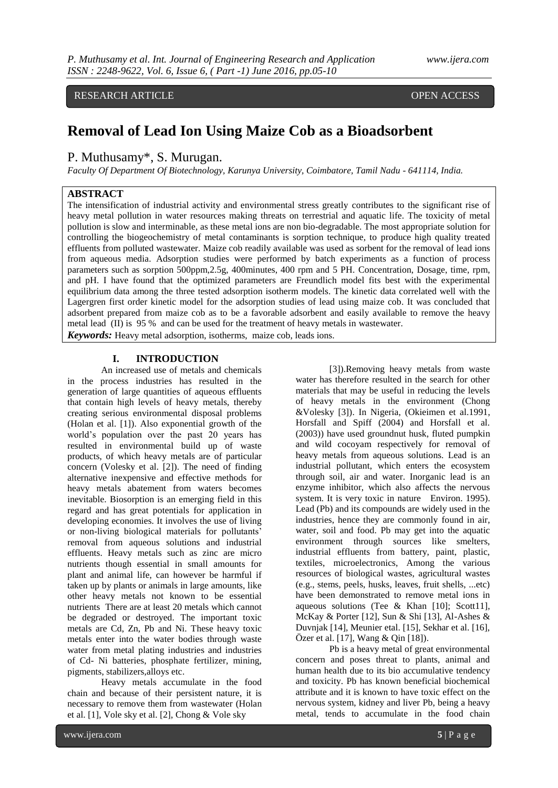RESEARCH ARTICLE **OPEN ACCESS** 

# **Removal of Lead Ion Using Maize Cob as a Bioadsorbent**

P. Muthusamy\*, S. Murugan.

*Faculty Of Department Of Biotechnology, Karunya University, Coimbatore, Tamil Nadu - 641114, India.*

# **ABSTRACT**

The intensification of industrial activity and environmental stress greatly contributes to the significant rise of heavy metal pollution in water resources making threats on terrestrial and aquatic life. The toxicity of metal pollution is slow and interminable, as these metal ions are non bio-degradable. The most appropriate solution for controlling the biogeochemistry of metal contaminants is sorption technique, to produce high quality treated effluents from polluted wastewater. Maize cob readily available was used as sorbent for the removal of lead ions from aqueous media. Adsorption studies were performed by batch experiments as a function of process parameters such as sorption 500ppm,2.5g, 400minutes, 400 rpm and 5 PH. Concentration, Dosage, time, rpm, and pH. I have found that the optimized parameters are Freundlich model fits best with the experimental equilibrium data among the three tested adsorption isotherm models. The kinetic data correlated well with the Lagergren first order kinetic model for the adsorption studies of lead using maize cob. It was concluded that adsorbent prepared from maize cob as to be a favorable adsorbent and easily available to remove the heavy metal lead (II) is 95 % and can be used for the treatment of heavy metals in wastewater.

*Keywords:* Heavy metal adsorption, isotherms, maize cob, leads ions.

# **I. INTRODUCTION**

An increased use of metals and chemicals in the process industries has resulted in the generation of large quantities of aqueous effluents that contain high levels of heavy metals, thereby creating serious environmental disposal problems (Holan et al. [1]). Also exponential growth of the world's population over the past 20 years has resulted in environmental build up of waste products, of which heavy metals are of particular concern (Volesky et al. [2]). The need of finding alternative inexpensive and effective methods for heavy metals abatement from waters becomes inevitable. Biosorption is an emerging field in this regard and has great potentials for application in developing economies. It involves the use of living or non-living biological materials for pollutants' removal from aqueous solutions and industrial effluents. Heavy metals such as zinc are micro nutrients though essential in small amounts for plant and animal life, can however be harmful if taken up by plants or animals in large amounts, like other heavy metals not known to be essential nutrients There are at least 20 metals which cannot be degraded or destroyed. The important toxic metals are Cd, Zn, Pb and Ni. These heavy toxic metals enter into the water bodies through waste water from metal plating industries and industries of Cd- Ni batteries, phosphate fertilizer, mining, pigments, stabilizers,alloys etc.

Heavy metals accumulate in the food chain and because of their persistent nature, it is necessary to remove them from wastewater (Holan et al. [1], Vole sky et al. [2], Chong & Vole sky

[3]).Removing heavy metals from waste water has therefore resulted in the search for other materials that may be useful in reducing the levels of heavy metals in the environment (Chong &Volesky [3]). In Nigeria, (Okieimen et al.1991, Horsfall and Spiff (2004) and Horsfall et al. (2003)) have used groundnut husk, fluted pumpkin and wild cocoyam respectively for removal of heavy metals from aqueous solutions. Lead is an industrial pollutant, which enters the ecosystem through soil, air and water. Inorganic lead is an enzyme inhibitor, which also affects the nervous system. It is very toxic in nature Environ. 1995). Lead (Pb) and its compounds are widely used in the industries, hence they are commonly found in air, water, soil and food. Pb may get into the aquatic environment through sources like smelters, industrial effluents from battery, paint, plastic, textiles, microelectronics, Among the various resources of biological wastes, agricultural wastes (e.g., stems, peels, husks, leaves, fruit shells, ...etc) have been demonstrated to remove metal ions in aqueous solutions (Tee & Khan [10]; Scott11], McKay & Porter [12], Sun & Shi [13], Al-Ashes & Duvnjak [14], Meunier etal. [15], Sekhar et al. [16], Özer et al. [17], Wang & Qin [18]).

Pb is a heavy metal of great environmental concern and poses threat to plants, animal and human health due to its bio accumulative tendency and toxicity. Pb has known beneficial biochemical attribute and it is known to have toxic effect on the nervous system, kidney and liver Pb, being a heavy metal, tends to accumulate in the food chain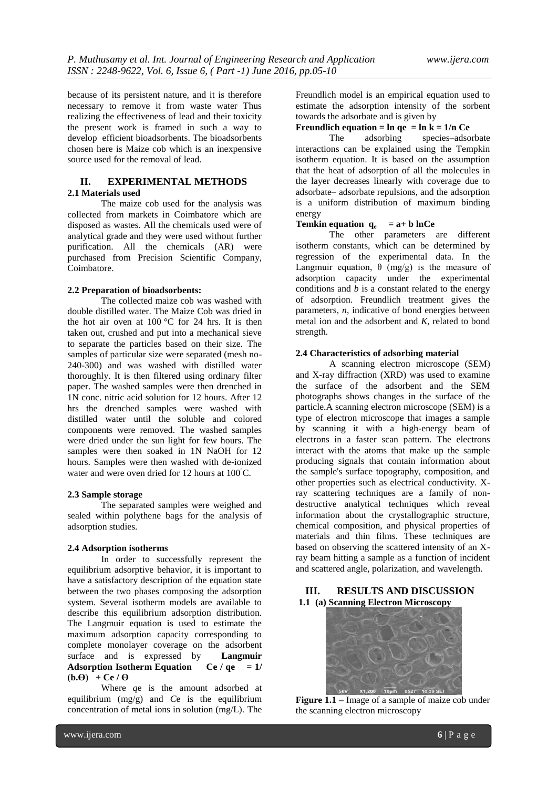because of its persistent nature, and it is therefore necessary to remove it from waste water Thus realizing the effectiveness of lead and their toxicity the present work is framed in such a way to develop efficient bioadsorbents. The bioadsorbents chosen here is Maize cob which is an inexpensive source used for the removal of lead.

#### **II. EXPERIMENTAL METHODS 2.1 Materials used**

The maize cob used for the analysis was collected from markets in Coimbatore which are disposed as wastes. All the chemicals used were of analytical grade and they were used without further purification. All the chemicals (AR) were purchased from Precision Scientific Company, Coimbatore.

# **2.2 Preparation of bioadsorbents:**

The collected maize cob was washed with double distilled water. The Maize Cob was dried in the hot air oven at  $100^{\circ}$ C for 24 hrs. It is then taken out, crushed and put into a mechanical sieve to separate the particles based on their size. The samples of particular size were separated (mesh no-240-300) and was washed with distilled water thoroughly. It is then filtered using ordinary filter paper. The washed samples were then drenched in 1N conc. nitric acid solution for 12 hours. After 12 hrs the drenched samples were washed with distilled water until the soluble and colored components were removed. The washed samples were dried under the sun light for few hours. The samples were then soaked in 1N NaOH for 12 hours. Samples were then washed with de-ionized water and were oven dried for 12 hours at 100◦C.

#### **2.3 Sample storage**

The separated samples were weighed and sealed within polythene bags for the analysis of adsorption studies.

# **2.4 Adsorption isotherms**

In order to successfully represent the equilibrium adsorptive behavior, it is important to have a satisfactory description of the equation state between the two phases composing the adsorption system. Several isotherm models are available to describe this equilibrium adsorption distribution. The Langmuir equation is used to estimate the maximum adsorption capacity corresponding to complete monolayer coverage on the adsorbent surface and is expressed by **Langmuir**  Adsorption Isotherm Equation Ce /  $q e = 1/$  $(b.\Theta) + Ce/\Theta$ 

Where *q*e is the amount adsorbed at equilibrium (mg/g) and *C*e is the equilibrium concentration of metal ions in solution (mg/L). The

Freundlich model is an empirical equation used to estimate the adsorption intensity of the sorbent towards the adsorbate and is given by

# **Freundlich equation =**  $\ln$  **qe =**  $\ln k = 1/\text{n}$  **Ce**<br>The adsorbing species-adso

species–adsorbate interactions can be explained using the Tempkin isotherm equation. It is based on the assumption that the heat of adsorption of all the molecules in the layer decreases linearly with coverage due to adsorbate– adsorbate repulsions, and the adsorption is a uniform distribution of maximum binding energy

# **Temkin equation**  $q_e$  =  $a + b$  lnCe

The other parameters are different isotherm constants, which can be determined by regression of the experimental data. In the Langmuir equation,  $\theta$  (mg/g) is the measure of adsorption capacity under the experimental conditions and *b* is a constant related to the energy of adsorption. Freundlich treatment gives the parameters, *n*, indicative of bond energies between metal ion and the adsorbent and *K*, related to bond strength.

# **2.4 Characteristics of adsorbing material**

A scanning electron microscope (SEM) and X-ray diffraction (XRD) was used to examine the surface of the adsorbent and the SEM photographs shows changes in the surface of the particle.A scanning electron microscope (SEM) is a type of electron microscope that images a sample by scanning it with a high-energy beam of electrons in a faster scan pattern. The electrons interact with the atoms that make up the sample producing signals that contain information about the sample's surface topography, composition, and other properties such as electrical conductivity. Xray scattering techniques are a family of nondestructive analytical techniques which reveal information about the crystallographic structure, chemical composition, and physical properties of materials and thin films. These techniques are based on observing the scattered intensity of an Xray beam hitting a sample as a function of incident and scattered angle, polarization, and wavelength.

# **III. RESULTS AND DISCUSSION 1.1 (a) Scanning Electron Microscopy**



**Figure 1.1 –** Image of a sample of maize cob under the scanning electron microscopy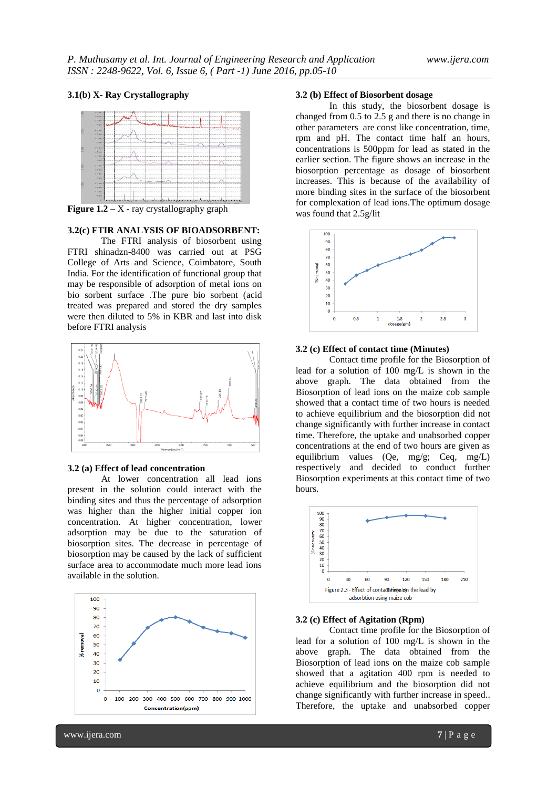#### **3.1(b) X- Ray Crystallography**



**Figure 1.2** – X - ray crystallography graph

# **3.2(c) FTIR ANALYSIS OF BIOADSORBENT:**

The FTRI analysis of biosorbent using FTRI shinadzn-8400 was carried out at PSG College of Arts and Science, Coimbatore, South India. For the identification of functional group that may be responsible of adsorption of metal ions on bio sorbent surface .The pure bio sorbent (acid treated was prepared and stored the dry samples were then diluted to 5% in KBR and last into disk before FTRI analysis



# **3.2 (a) Effect of lead concentration**

At lower concentration all lead ions present in the solution could interact with the binding sites and thus the percentage of adsorption was higher than the higher initial copper ion concentration. At higher concentration, lower adsorption may be due to the saturation of biosorption sites. The decrease in percentage of biosorption may be caused by the lack of sufficient surface area to accommodate much more lead ions available in the solution.



# **3.2 (b) Effect of Biosorbent dosage**

In this study, the biosorbent dosage is changed from 0.5 to 2.5 g and there is no change in other parameters are const like concentration, time, rpm and pH. The contact time half an hours, concentrations is 500ppm for lead as stated in the earlier section. The figure shows an increase in the biosorption percentage as dosage of biosorbent increases. This is because of the availability of more binding sites in the surface of the biosorbent for complexation of lead ions.The optimum dosage was found that 2.5g/lit



#### **3.2 (c) Effect of contact time (Minutes)**

Contact time profile for the Biosorption of lead for a solution of 100 mg/L is shown in the above graph. The data obtained from the Biosorption of lead ions on the maize cob sample showed that a contact time of two hours is needed to achieve equilibrium and the biosorption did not change significantly with further increase in contact time. Therefore, the uptake and unabsorbed copper concentrations at the end of two hours are given as equilibrium values (Qe, mg/g; Ceq, mg/L) respectively and decided to conduct further Biosorption experiments at this contact time of two hours.



# **3.2 (c) Effect of Agitation (Rpm)**

Contact time profile for the Biosorption of lead for a solution of 100 mg/L is shown in the above graph. The data obtained from the Biosorption of lead ions on the maize cob sample showed that a agitation 400 rpm is needed to achieve equilibrium and the biosorption did not change significantly with further increase in speed.. Therefore, the uptake and unabsorbed copper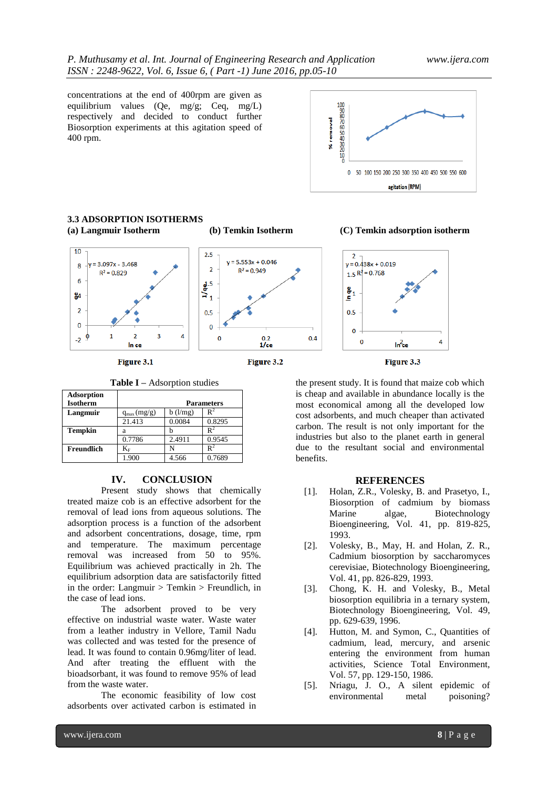concentrations at the end of 400rpm are given as equilibrium values (Qe, mg/g; Ceq, mg/L) respectively and decided to conduct further Biosorption experiments at this agitation speed of 400 rpm.





Figure 3.2

**Table I –** Adsorption studies

Figure 3.1

| <b>Adsorption</b> |                   |         |                |
|-------------------|-------------------|---------|----------------|
| <b>Isotherm</b>   | <b>Parameters</b> |         |                |
| Langmuir          | $q_{max}(mg/g)$   | b(1/mg) | $\mathbf{R}^2$ |
|                   | 21.413            | 0.0084  | 0.8295         |
| <b>Tempkin</b>    | a                 |         | $R^2$          |
|                   | 0.7786            | 2.4911  | 0.9545         |
| Freundlich        | $\rm K_F$         | N       |                |
|                   | 1.900             | 4.566   | 0.7689         |

#### **IV. CONCLUSION**

Present study shows that chemically treated maize cob is an effective adsorbent for the removal of lead ions from aqueous solutions. The adsorption process is a function of the adsorbent and adsorbent concentrations, dosage, time, rpm and temperature. The maximum percentage removal was increased from 50 to 95%. Equilibrium was achieved practically in 2h. The equilibrium adsorption data are satisfactorily fitted in the order: Langmuir > Temkin > Freundlich, in the case of lead ions.

The adsorbent proved to be very effective on industrial waste water. Waste water from a leather industry in Vellore, Tamil Nadu was collected and was tested for the presence of lead. It was found to contain 0.96mg/liter of lead. And after treating the effluent with the bioadsorbant, it was found to remove 95% of lead from the waste water.

The economic feasibility of low cost adsorbents over activated carbon is estimated in



the present study. It is found that maize cob which is cheap and available in abundance locally is the most economical among all the developed low cost adsorbents, and much cheaper than activated carbon. The result is not only important for the industries but also to the planet earth in general due to the resultant social and environmental benefits.

#### **REFERENCES**

- [1]. Holan, Z.R., Volesky, B. and Prasetyo, I., Biosorption of cadmium by biomass Marine algae, Biotechnology Bioengineering, Vol. 41, pp. 819-825, 1993.
- [2]. Volesky, B., May, H. and Holan, Z. R., Cadmium biosorption by saccharomyces cerevisiae, Biotechnology Bioengineering, Vol. 41, pp. 826-829, 1993.
- [3]. Chong, K. H. and Volesky, B., Metal biosorption equilibria in a ternary system, Biotechnology Bioengineering, Vol. 49, pp. 629-639, 1996.
- [4]. Hutton, M. and Symon, C., Quantities of cadmium, lead, mercury, and arsenic entering the environment from human activities, Science Total Environment, Vol. 57, pp. 129-150, 1986.
- [5]. Nriagu, J. O., A silent epidemic of environmental metal poisoning?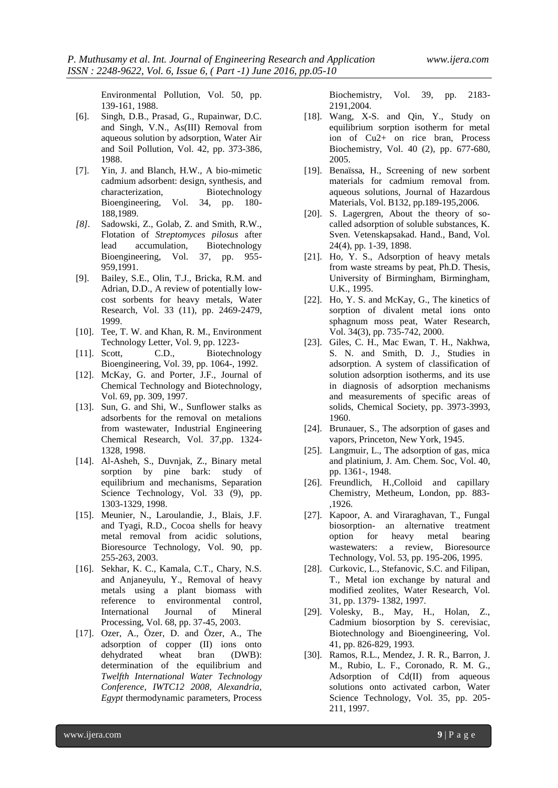Environmental Pollution, Vol. 50, pp. 139-161, 1988.

- [6]. Singh, D.B., Prasad, G., Rupainwar, D.C. and Singh, V.N., As(III) Removal from aqueous solution by adsorption, Water Air and Soil Pollution, Vol. 42, pp. 373-386, 1988.
- [7]. Yin, J. and Blanch, H.W., A bio-mimetic cadmium adsorbent: design, synthesis, and characterization, Biotechnology Bioengineering, Vol. 34, pp. 180- 188,1989.
- *[8].* Sadowski, Z., Golab, Z. and Smith, R.W., Flotation of *Streptomyces pilosus* after lead accumulation, Biotechnology Bioengineering, Vol. 37, pp. 955- 959,1991.
- [9]. Bailey, S.E., Olin, T.J., Bricka, R.M. and Adrian, D.D., A review of potentially lowcost sorbents for heavy metals, Water Research, Vol. 33 (11), pp. 2469-2479, 1999.
- [10]. Tee, T. W. and Khan, R. M., Environment Technology Letter, Vol. 9, pp. 1223-
- [11]. Scott, C.D., Biotechnology Bioengineering, Vol. 39, pp. 1064-, 1992.
- [12]. McKay, G. and Porter, J.F., Journal of Chemical Technology and Biotechnology, Vol. 69, pp. 309, 1997.
- [13]. Sun, G. and Shi, W., Sunflower stalks as adsorbents for the removal on metalions from wastewater, Industrial Engineering Chemical Research, Vol. 37,pp. 1324- 1328, 1998.
- [14]. Al-Asheh, S., Duvnjak, Z., Binary metal sorption by pine bark: study of equilibrium and mechanisms, Separation Science Technology, Vol. 33 (9), pp. 1303-1329, 1998.
- [15]. Meunier, N., Laroulandie, J., Blais, J.F. and Tyagi, R.D., Cocoa shells for heavy metal removal from acidic solutions, Bioresource Technology, Vol. 90, pp. 255-263, 2003.
- [16]. Sekhar, K. C., Kamala, C.T., Chary, N.S. and Anjaneyulu, Y., Removal of heavy metals using a plant biomass with reference to environmental control, International Journal of Mineral Processing, Vol. 68, pp. 37-45, 2003.
- [17]. Ozer, A., Özer, D. and Özer, A., The adsorption of copper (II) ions onto dehydrated wheat bran (DWB): determination of the equilibrium and *Twelfth International Water Technology Conference, IWTC12 2008, Alexandria, Egypt* thermodynamic parameters, Process

Biochemistry, Vol. 39, pp. 2183- 2191,2004.

- [18]. Wang, X-S. and Qin, Y., Study on equilibrium sorption isotherm for metal ion of Cu2+ on rice bran, Process Biochemistry, Vol. 40 (2), pp. 677-680, 2005.
- [19]. Benaïssa, H., Screening of new sorbent materials for cadmium removal from. aqueous solutions, Journal of Hazardous Materials, Vol. B132, pp.189-195,2006.
- [20]. S. Lagergren, About the theory of socalled adsorption of soluble substances, K. Sven. Vetenskapsakad. Hand., Band, Vol. 24(4), pp. 1-39, 1898.
- [21]. Ho, Y. S., Adsorption of heavy metals from waste streams by peat, Ph.D. Thesis, University of Birmingham, Birmingham, U.K., 1995.
- [22]. Ho, Y. S. and McKay, G., The kinetics of sorption of divalent metal ions onto sphagnum moss peat, Water Research, Vol. 34(3), pp. 735-742, 2000.
- [23]. Giles, C. H., Mac Ewan, T. H., Nakhwa, S. N. and Smith, D. J., Studies in adsorption. A system of classification of solution adsorption isotherms, and its use in diagnosis of adsorption mechanisms and measurements of specific areas of solids, Chemical Society, pp. 3973-3993, 1960.
- [24]. Brunauer, S., The adsorption of gases and vapors, Princeton, New York, 1945.
- [25]. Langmuir, L., The adsorption of gas, mica and platinium, J. Am. Chem. Soc, Vol. 40, pp. 1361-, 1948.
- [26]. Freundlich, H., Colloid and capillary Chemistry, Metheum, London, pp. 883- ,1926.
- [27]. Kapoor, A. and Viraraghavan, T., Fungal biosorption- an alternative treatment option for heavy metal bearing wastewaters: a review, Bioresource Technology, Vol. 53, pp. 195-206, 1995.
- [28]. Curkovic, L., Stefanovic, S.C. and Filipan, T., Metal ion exchange by natural and modified zeolites, Water Research, Vol. 31, pp. 1379- 1382, 1997.
- [29]. Volesky, B., May, H., Holan, Z., Cadmium biosorption by S. cerevisiac, Biotechnology and Bioengineering, Vol. 41, pp. 826-829, 1993.
- [30]. Ramos, R.L., Mendez, J. R. R., Barron, J. M., Rubio, L. F., Coronado, R. M. G., Adsorption of Cd(II) from aqueous solutions onto activated carbon, Water Science Technology, Vol. 35, pp. 205- 211, 1997.